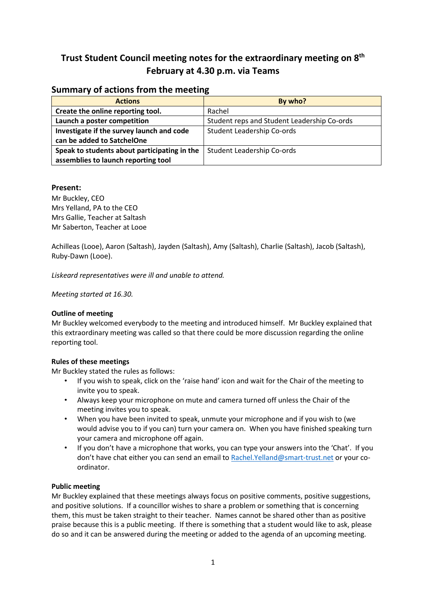# **Trust Student Council meeting notes for the extraordinary meeting on 8th February at 4.30 p.m. via Teams**

## **Summary of actions from the meeting**

| <b>Actions</b>                               | By who?                                     |
|----------------------------------------------|---------------------------------------------|
| Create the online reporting tool.            | Rachel                                      |
| Launch a poster competition                  | Student reps and Student Leadership Co-ords |
| Investigate if the survey launch and code    | Student Leadership Co-ords                  |
| can be added to SatchelOne                   |                                             |
| Speak to students about participating in the | <b>Student Leadership Co-ords</b>           |
| assemblies to launch reporting tool          |                                             |

## **Present:**

Mr Buckley, CEO Mrs Yelland, PA to the CEO Mrs Gallie, Teacher at Saltash Mr Saberton, Teacher at Looe

Achilleas (Looe), Aaron (Saltash), Jayden (Saltash), Amy (Saltash), Charlie (Saltash), Jacob (Saltash), Ruby-Dawn (Looe).

*Liskeard representatives were ill and unable to attend.*

*Meeting started at 16.30.*

## **Outline of meeting**

Mr Buckley welcomed everybody to the meeting and introduced himself. Mr Buckley explained that this extraordinary meeting was called so that there could be more discussion regarding the online reporting tool.

## **Rules of these meetings**

Mr Buckley stated the rules as follows:

- If you wish to speak, click on the 'raise hand' icon and wait for the Chair of the meeting to invite you to speak.
- Always keep your microphone on mute and camera turned off unless the Chair of the meeting invites you to speak.
- When you have been invited to speak, unmute your microphone and if you wish to (we would advise you to if you can) turn your camera on. When you have finished speaking turn your camera and microphone off again.
- If you don't have a microphone that works, you can type your answers into the 'Chat'. If you don't have chat either you can send an email to [Rachel.Yelland@smart-trust.net](mailto:Rachel.Yelland@smart-trust.net) or your coordinator.

## **Public meeting**

Mr Buckley explained that these meetings always focus on positive comments, positive suggestions, and positive solutions. If a councillor wishes to share a problem or something that is concerning them, this must be taken straight to their teacher. Names cannot be shared other than as positive praise because this is a public meeting. If there is something that a student would like to ask, please do so and it can be answered during the meeting or added to the agenda of an upcoming meeting.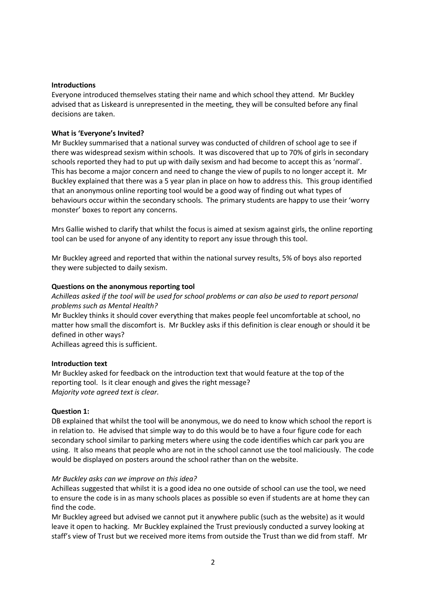#### **Introductions**

Everyone introduced themselves stating their name and which school they attend. Mr Buckley advised that as Liskeard is unrepresented in the meeting, they will be consulted before any final decisions are taken.

#### **What is 'Everyone's Invited?**

Mr Buckley summarised that a national survey was conducted of children of school age to see if there was widespread sexism within schools. It was discovered that up to 70% of girls in secondary schools reported they had to put up with daily sexism and had become to accept this as 'normal'. This has become a major concern and need to change the view of pupils to no longer accept it. Mr Buckley explained that there was a 5 year plan in place on how to address this. This group identified that an anonymous online reporting tool would be a good way of finding out what types of behaviours occur within the secondary schools. The primary students are happy to use their 'worry monster' boxes to report any concerns.

Mrs Gallie wished to clarify that whilst the focus is aimed at sexism against girls, the online reporting tool can be used for anyone of any identity to report any issue through this tool.

Mr Buckley agreed and reported that within the national survey results, 5% of boys also reported they were subjected to daily sexism.

#### **Questions on the anonymous reporting tool**

*Achilleas asked if the tool will be used for school problems or can also be used to report personal problems such as Mental Health?*

Mr Buckley thinks it should cover everything that makes people feel uncomfortable at school, no matter how small the discomfort is. Mr Buckley asks if this definition is clear enough or should it be defined in other ways?

Achilleas agreed this is sufficient.

#### **Introduction text**

Mr Buckley asked for feedback on the introduction text that would feature at the top of the reporting tool. Is it clear enough and gives the right message? *Majority vote agreed text is clear.*

#### **Question 1:**

DB explained that whilst the tool will be anonymous, we do need to know which school the report is in relation to. He advised that simple way to do this would be to have a four figure code for each secondary school similar to parking meters where using the code identifies which car park you are using. It also means that people who are not in the school cannot use the tool maliciously. The code would be displayed on posters around the school rather than on the website.

#### *Mr Buckley asks can we improve on this idea?*

Achilleas suggested that whilst it is a good idea no one outside of school can use the tool, we need to ensure the code is in as many schools places as possible so even if students are at home they can find the code.

Mr Buckley agreed but advised we cannot put it anywhere public (such as the website) as it would leave it open to hacking. Mr Buckley explained the Trust previously conducted a survey looking at staff's view of Trust but we received more items from outside the Trust than we did from staff. Mr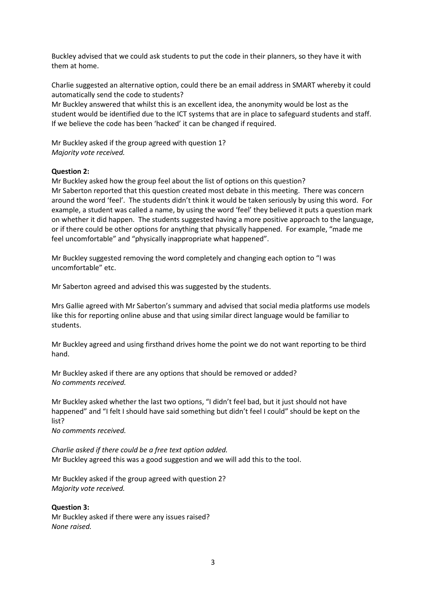Buckley advised that we could ask students to put the code in their planners, so they have it with them at home.

Charlie suggested an alternative option, could there be an email address in SMART whereby it could automatically send the code to students?

Mr Buckley answered that whilst this is an excellent idea, the anonymity would be lost as the student would be identified due to the ICT systems that are in place to safeguard students and staff. If we believe the code has been 'hacked' it can be changed if required.

Mr Buckley asked if the group agreed with question 1? *Majority vote received.*

#### **Question 2:**

Mr Buckley asked how the group feel about the list of options on this question? Mr Saberton reported that this question created most debate in this meeting. There was concern around the word 'feel'. The students didn't think it would be taken seriously by using this word. For example, a student was called a name, by using the word 'feel' they believed it puts a question mark on whether it did happen. The students suggested having a more positive approach to the language, or if there could be other options for anything that physically happened. For example, "made me feel uncomfortable" and "physically inappropriate what happened".

Mr Buckley suggested removing the word completely and changing each option to "I was uncomfortable" etc.

Mr Saberton agreed and advised this was suggested by the students.

Mrs Gallie agreed with Mr Saberton's summary and advised that social media platforms use models like this for reporting online abuse and that using similar direct language would be familiar to students.

Mr Buckley agreed and using firsthand drives home the point we do not want reporting to be third hand.

Mr Buckley asked if there are any options that should be removed or added? *No comments received.*

Mr Buckley asked whether the last two options, "I didn't feel bad, but it just should not have happened" and "I felt I should have said something but didn't feel I could" should be kept on the list?

*No comments received.*

*Charlie asked if there could be a free text option added.* Mr Buckley agreed this was a good suggestion and we will add this to the tool.

Mr Buckley asked if the group agreed with question 2? *Majority vote received.*

## **Question 3:**

Mr Buckley asked if there were any issues raised? *None raised.*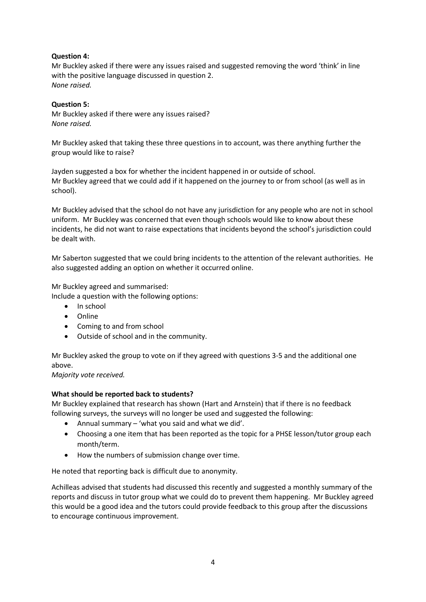## **Question 4:**

Mr Buckley asked if there were any issues raised and suggested removing the word 'think' in line with the positive language discussed in question 2. *None raised.*

## **Question 5:**

Mr Buckley asked if there were any issues raised? *None raised.*

Mr Buckley asked that taking these three questions in to account, was there anything further the group would like to raise?

Jayden suggested a box for whether the incident happened in or outside of school. Mr Buckley agreed that we could add if it happened on the journey to or from school (as well as in school).

Mr Buckley advised that the school do not have any jurisdiction for any people who are not in school uniform. Mr Buckley was concerned that even though schools would like to know about these incidents, he did not want to raise expectations that incidents beyond the school's jurisdiction could be dealt with.

Mr Saberton suggested that we could bring incidents to the attention of the relevant authorities. He also suggested adding an option on whether it occurred online.

Mr Buckley agreed and summarised:

Include a question with the following options:

- In school
- Online
- Coming to and from school
- Outside of school and in the community.

Mr Buckley asked the group to vote on if they agreed with questions 3-5 and the additional one above.

*Majority vote received.*

## **What should be reported back to students?**

Mr Buckley explained that research has shown (Hart and Arnstein) that if there is no feedback following surveys, the surveys will no longer be used and suggested the following:

- Annual summary 'what you said and what we did'.
- Choosing a one item that has been reported as the topic for a PHSE lesson/tutor group each month/term.
- How the numbers of submission change over time.

He noted that reporting back is difficult due to anonymity.

Achilleas advised that students had discussed this recently and suggested a monthly summary of the reports and discuss in tutor group what we could do to prevent them happening. Mr Buckley agreed this would be a good idea and the tutors could provide feedback to this group after the discussions to encourage continuous improvement.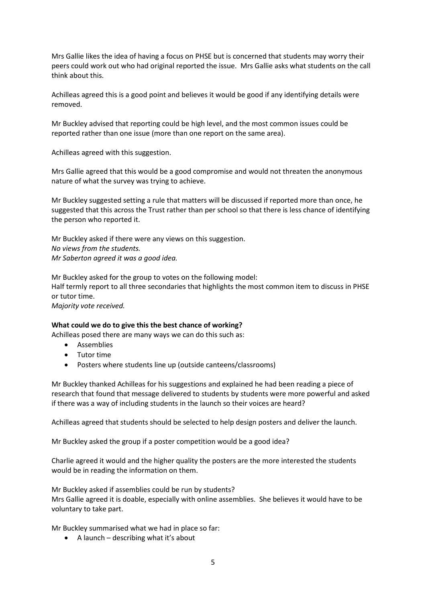Mrs Gallie likes the idea of having a focus on PHSE but is concerned that students may worry their peers could work out who had original reported the issue. Mrs Gallie asks what students on the call think about this.

Achilleas agreed this is a good point and believes it would be good if any identifying details were removed.

Mr Buckley advised that reporting could be high level, and the most common issues could be reported rather than one issue (more than one report on the same area).

Achilleas agreed with this suggestion.

Mrs Gallie agreed that this would be a good compromise and would not threaten the anonymous nature of what the survey was trying to achieve.

Mr Buckley suggested setting a rule that matters will be discussed if reported more than once, he suggested that this across the Trust rather than per school so that there is less chance of identifying the person who reported it.

Mr Buckley asked if there were any views on this suggestion. *No views from the students. Mr Saberton agreed it was a good idea.*

Mr Buckley asked for the group to votes on the following model: Half termly report to all three secondaries that highlights the most common item to discuss in PHSE or tutor time. *Majority vote received.*

## **What could we do to give this the best chance of working?**

Achilleas posed there are many ways we can do this such as:

- **Assemblies**
- Tutor time
- Posters where students line up (outside canteens/classrooms)

Mr Buckley thanked Achilleas for his suggestions and explained he had been reading a piece of research that found that message delivered to students by students were more powerful and asked if there was a way of including students in the launch so their voices are heard?

Achilleas agreed that students should be selected to help design posters and deliver the launch.

Mr Buckley asked the group if a poster competition would be a good idea?

Charlie agreed it would and the higher quality the posters are the more interested the students would be in reading the information on them.

Mr Buckley asked if assemblies could be run by students? Mrs Gallie agreed it is doable, especially with online assemblies. She believes it would have to be voluntary to take part.

Mr Buckley summarised what we had in place so far:

• A launch  $-$  describing what it's about